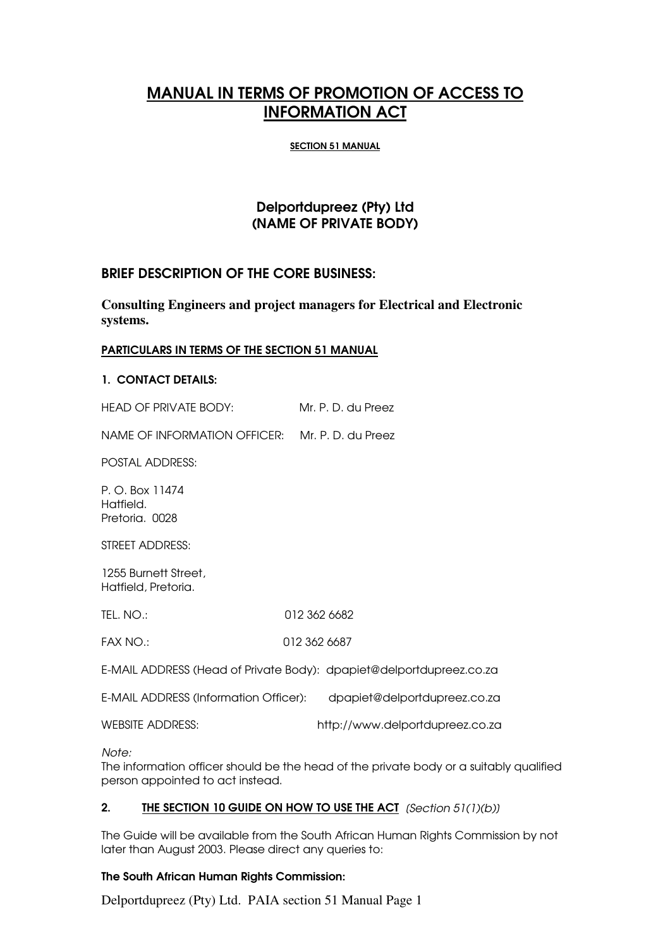# MANUAL IN TERMS OF PROMOTION OF ACCESS TO INFORMATION ACT

### SECTION 51 MANUAL

# Delportdupreez (Pty) Ltd (NAME OF PRIVATE BODY)

# BRIEF DESCRIPTION OF THE CORE BUSINESS:

**Consulting Engineers and project managers for Electrical and Electronic systems.**

### PARTICULARS IN TERMS OF THE SECTION 51 MANUAL

### 1. CONTACT DETAILS:

HEAD OF PRIVATE BODY: Mr. P. D. du Preez

NAME OF INFORMATION OFFICER: Mr. P. D. du Preez

POSTAL ADDRESS:

P. O. Box 11474 Hatfield. Pretoria. 0028

STREET ADDRESS:

1255 Burnett Street, Hatfield, Pretoria.

TEL. NO.: 012 362 6682

FAX NO.: 012 362 6687

E-MAIL ADDRESS (Head of Private Body): dpapiet@delportdupreez.co.za

E-MAIL ADDRESS (Information Officer): dpapiet@delportdupreez.co.za

WEBSITE ADDRESS: http://www.delportdupreez.co.za

*Note:*

The information officer should be the head of the private body or a suitably qualified person appointed to act instead.

# 2. THE SECTION 10 GUIDE ON HOW TO USE THE ACT *[Section 51(1)(b)]*

The Guide will be available from the South African Human Rights Commission by not later than August 2003. Please direct any queries to:

### The South African Human Rights Commission:

Delportdupreez (Pty) Ltd. PAIA section 51 Manual Page 1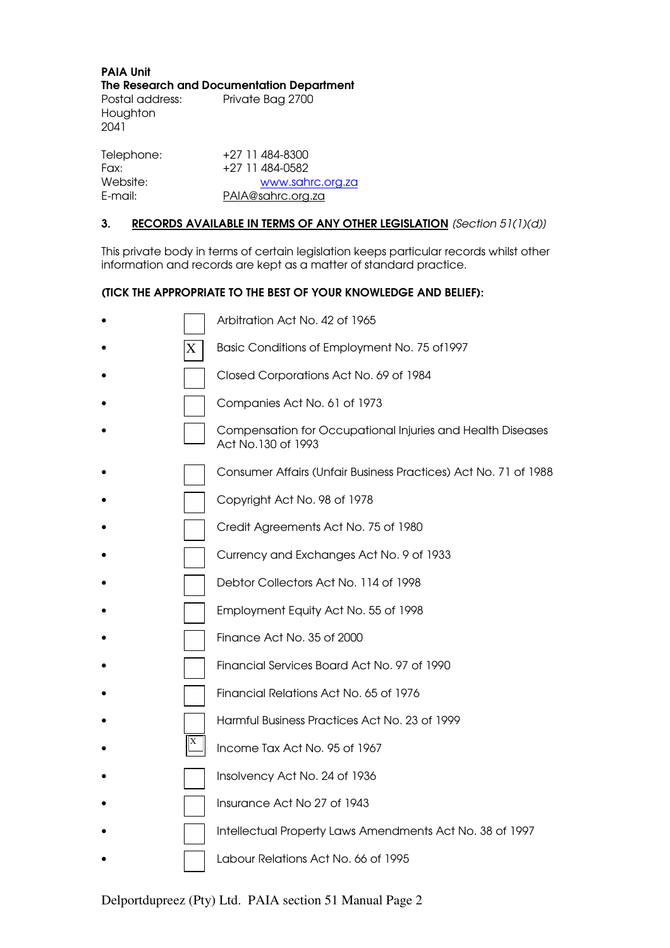PAIA Unit The Research and Documentation Department Postal address: Private Bag 2700 Houghton

2041

| Telephone: | +27 11 484-8300   |
|------------|-------------------|
| Fax:       | +27 11 484-0582   |
| Website:   | www.sahrc.org.za  |
| E-mail:    | PAIA@sahrc.org.za |

# 3. RECORDS AVAILABLE IN TERMS OF ANY OTHER LEGISLATION *[Section 51(1)(d)]*

This private body in terms of certain legislation keeps particular records whilst other information and records are kept as a matter of standard practice.

# (TICK THE APPROPRIATE TO THE BEST OF YOUR KNOWLEDGE AND BELIEF):

|   | Arbitration Act No. 42 of 1965                                                   |
|---|----------------------------------------------------------------------------------|
| X | Basic Conditions of Employment No. 75 of 1997                                    |
|   | Closed Corporations Act No. 69 of 1984                                           |
|   | Companies Act No. 61 of 1973                                                     |
|   | Compensation for Occupational Injuries and Health Diseases<br>Act No.130 of 1993 |
|   | Consumer Affairs (Unfair Business Practices) Act No. 71 of 1988                  |
|   | Copyright Act No. 98 of 1978                                                     |
|   | Credit Agreements Act No. 75 of 1980                                             |
|   | Currency and Exchanges Act No. 9 of 1933                                         |
|   | Debtor Collectors Act No. 114 of 1998                                            |
|   | Employment Equity Act No. 55 of 1998                                             |
|   | Finance Act No. 35 of 2000                                                       |
|   | Financial Services Board Act No. 97 of 1990                                      |
|   | Financial Relations Act No. 65 of 1976                                           |
|   | Harmful Business Practices Act No. 23 of 1999                                    |
|   | Income Tax Act No. 95 of 1967                                                    |
|   | Insolvency Act No. 24 of 1936                                                    |
|   | Insurance Act No 27 of 1943                                                      |
|   | Intellectual Property Laws Amendments Act No. 38 of 1997                         |
|   | Labour Relations Act No. 66 of 1995                                              |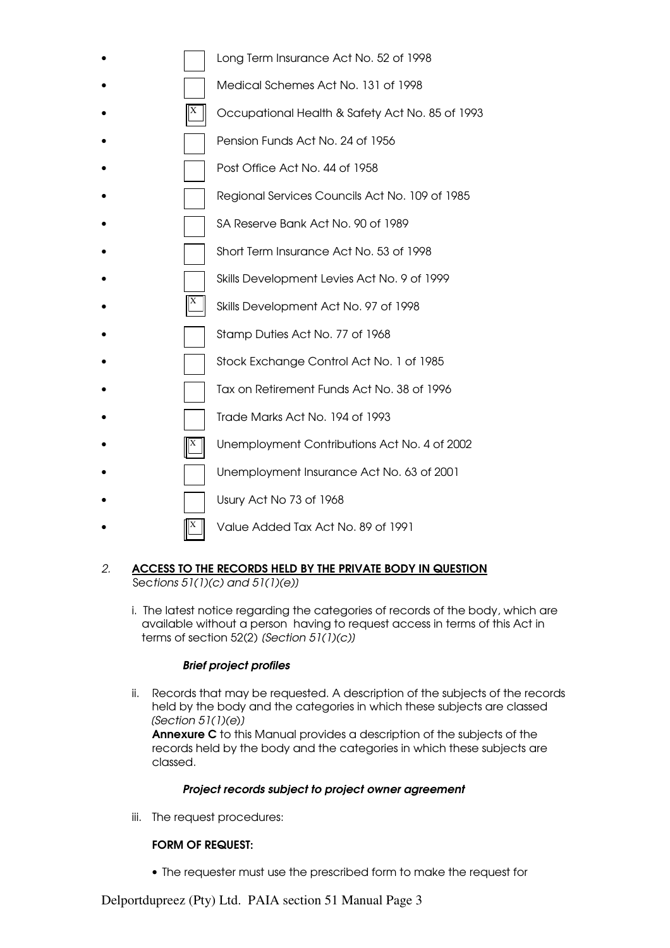|   | Long Term Insurance Act No. 52 of 1998          |
|---|-------------------------------------------------|
|   | Medical Schemes Act No. 131 of 1998             |
| X | Occupational Health & Safety Act No. 85 of 1993 |
|   | Pension Funds Act No. 24 of 1956                |
|   | Post Office Act No. 44 of 1958                  |
|   | Regional Services Councils Act No. 109 of 1985  |
|   | SA Reserve Bank Act No. 90 of 1989              |
|   | Short Term Insurance Act No. 53 of 1998         |
|   | Skills Development Levies Act No. 9 of 1999     |
|   | Skills Development Act No. 97 of 1998           |
|   | Stamp Duties Act No. 77 of 1968                 |
|   | Stock Exchange Control Act No. 1 of 1985        |
|   | Tax on Retirement Funds Act No. 38 of 1996      |
|   | Trade Marks Act No. 194 of 1993                 |
|   | Unemployment Contributions Act No. 4 of 2002    |
|   | Unemployment Insurance Act No. 63 of 2001       |
|   | Usury Act No 73 of 1968                         |
|   | Value Added Tax Act No. 89 of 1991              |

# *2.* ACCESS TO THE RECORDS HELD BY THE PRIVATE BODY IN QUESTION Sec*tions 51(1)(c) and 51(1)(e)]*

i. The latest notice regarding the categories of records of the body, which are available without a person having to request access in terms of this Act in terms of section 52(2) *[Section 51(1)(c)]*

# *Brief project profiles*

ii. Records that may be requested. A description of the subjects of the records held by the body and the categories in which these subjects are classed *[Section 51(1)(e*)*]*

 Annexure C to this Manual provides a description of the subjects of the records held by the body and the categories in which these subjects are classed.

# *Project records subject to project owner agreement*

iii. The request procedures:

# FORM OF REQUEST:

• The requester must use the prescribed form to make the request for

Delportdupreez (Pty) Ltd. PAIA section 51 Manual Page 3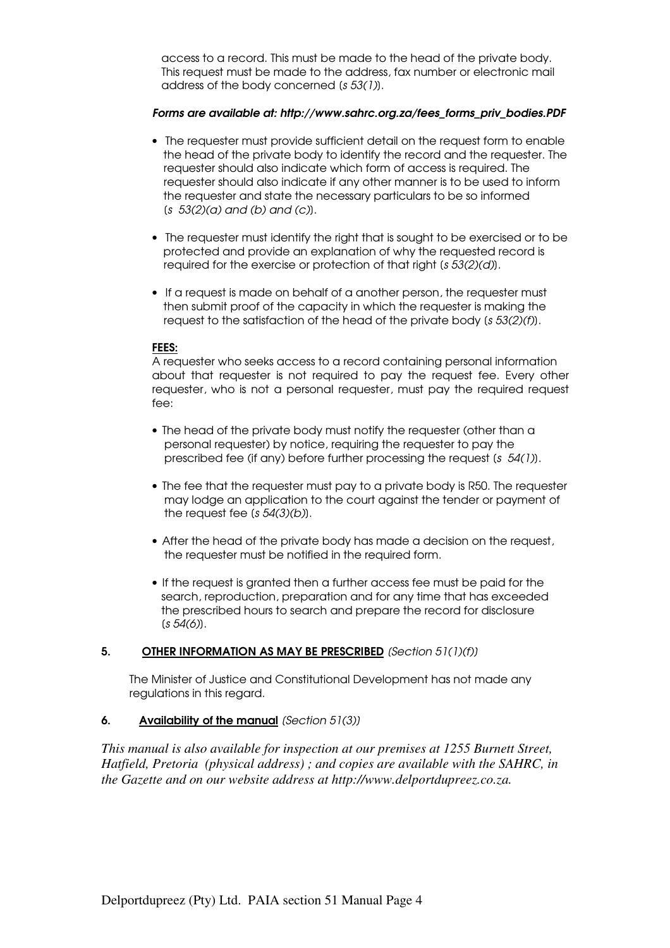access to a record. This must be made to the head of the private body. This request must be made to the address, fax number or electronic mail address of the body concerned [*s 53(1)*].

# *Forms are available at: http://www.sahrc.org.za/fees\_forms\_priv\_bodies.PDF*

- The requester must provide sufficient detail on the request form to enable the head of the private body to identify the record and the requester. The requester should also indicate which form of access is required. The requester should also indicate if any other manner is to be used to inform the requester and state the necessary particulars to be so informed [*s 53(2)(a) and (b) and (c)*].
- The requester must identify the right that is sought to be exercised or to be protected and provide an explanation of why the requested record is required for the exercise or protection of that right [*s 53(2)(d)*].
- If a request is made on behalf of a another person, the requester must then submit proof of the capacity in which the requester is making the request to the satisfaction of the head of the private body [*s 53(2)(f)*].

### FEES:

A requester who seeks access to a record containing personal information about that requester is not required to pay the request fee. Every other requester, who is not a personal requester, must pay the required request fee:

- The head of the private body must notify the requester (other than a personal requester) by notice, requiring the requester to pay the prescribed fee (if any) before further processing the request [*s 54(1)*].
- The fee that the requester must pay to a private body is R50. The requester may lodge an application to the court against the tender or payment of the request fee [*s 54(3)(b)*].
- After the head of the private body has made a decision on the request, the requester must be notified in the required form.
- If the request is granted then a further access fee must be paid for the search, reproduction, preparation and for any time that has exceeded the prescribed hours to search and prepare the record for disclosure [*s 54(6)*].

### 5. OTHER INFORMATION AS MAY BE PRESCRIBED *[Section 51(1)(f)]*

 The Minister of Justice and Constitutional Development has not made any regulations in this regard.

# 6. Availability of the manual *[Section 51(3)]*

*This manual is also available for inspection at our premises at 1255 Burnett Street, Hatfield, Pretoria (physical address) ; and copies are available with the SAHRC, in the Gazette and on our website address at http://www.delportdupreez.co.za.*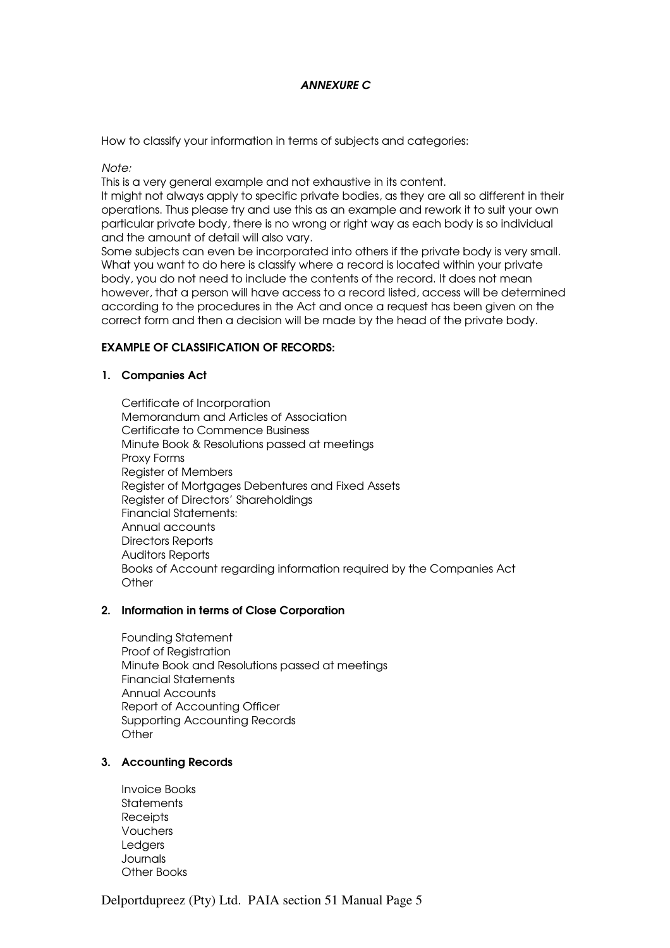# *ANNEXURE C*

How to classify your information in terms of subjects and categories:

*Note:*

This is a very general example and not exhaustive in its content.

It might not always apply to specific private bodies, as they are all so different in their operations. Thus please try and use this as an example and rework it to suit your own particular private body, there is no wrong or right way as each body is so individual and the amount of detail will also vary.

Some subjects can even be incorporated into others if the private body is very small. What you want to do here is classify where a record is located within your private body, you do not need to include the contents of the record. It does not mean however, that a person will have access to a record listed, access will be determined according to the procedures in the Act and once a request has been given on the correct form and then a decision will be made by the head of the private body.

# EXAMPLE OF CLASSIFICATION OF RECORDS:

### 1. Companies Act

Certificate of Incorporation Memorandum and Articles of Association Certificate to Commence Business Minute Book & Resolutions passed at meetings Proxy Forms Register of Members Register of Mortgages Debentures and Fixed Assets Register of Directors' Shareholdings Financial Statements: Annual accounts Directors Reports Auditors Reports Books of Account regarding information required by the Companies Act **Other** 

### 2. Information in terms of Close Corporation

Founding Statement Proof of Registration Minute Book and Resolutions passed at meetings Financial Statements Annual Accounts Report of Accounting Officer Supporting Accounting Records **Other** 

# 3. Accounting Records

Invoice Books **Statements Receipts** Vouchers **Ledgers Journals** Other Books

Delportdupreez (Pty) Ltd. PAIA section 51 Manual Page 5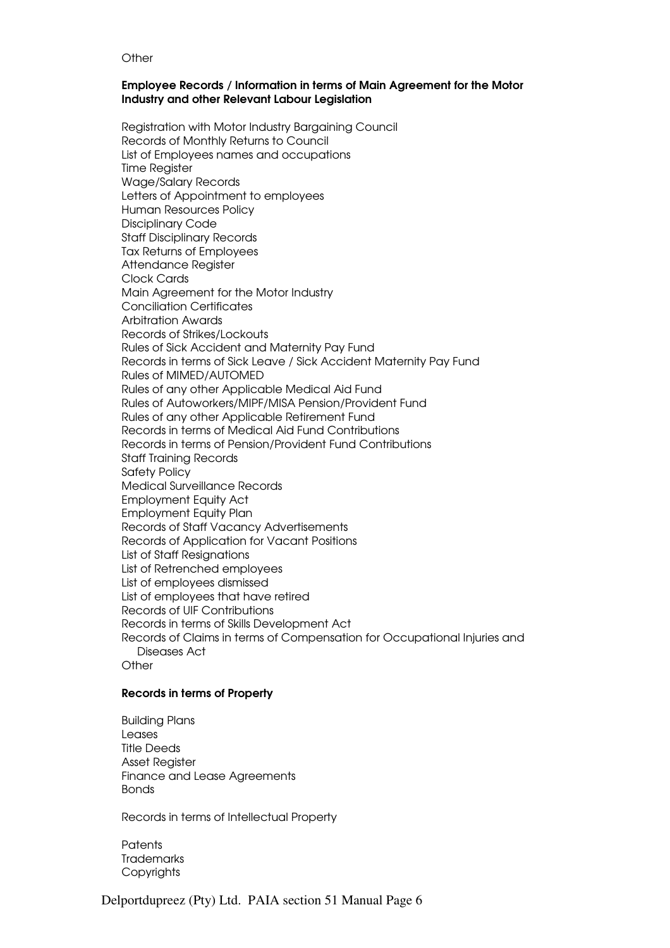#### **Other**

#### Employee Records / Information in terms of Main Agreement for the Motor Industry and other Relevant Labour Legislation

Registration with Motor Industry Bargaining Council Records of Monthly Returns to Council List of Employees names and occupations Time Register Wage/Salary Records Letters of Appointment to employees Human Resources Policy Disciplinary Code Staff Disciplinary Records Tax Returns of Employees Attendance Register Clock Cards Main Agreement for the Motor Industry Conciliation Certificates Arbitration Awards Records of Strikes/Lockouts Rules of Sick Accident and Maternity Pay Fund Records in terms of Sick Leave / Sick Accident Maternity Pay Fund Rules of MIMED/AUTOMED Rules of any other Applicable Medical Aid Fund Rules of Autoworkers/MIPF/MISA Pension/Provident Fund Rules of any other Applicable Retirement Fund Records in terms of Medical Aid Fund Contributions Records in terms of Pension/Provident Fund Contributions Staff Training Records Safety Policy Medical Surveillance Records Employment Equity Act Employment Equity Plan Records of Staff Vacancy Advertisements Records of Application for Vacant Positions List of Staff Resignations List of Retrenched employees List of employees dismissed List of employees that have retired Records of UIF Contributions Records in terms of Skills Development Act Records of Claims in terms of Compensation for Occupational Injuries and Diseases Act **Other** 

### Records in terms of Property

Building Plans Leases Title Deeds Asset Register Finance and Lease Agreements Bonds

Records in terms of Intellectual Property

**Patents Trademarks Copyrights**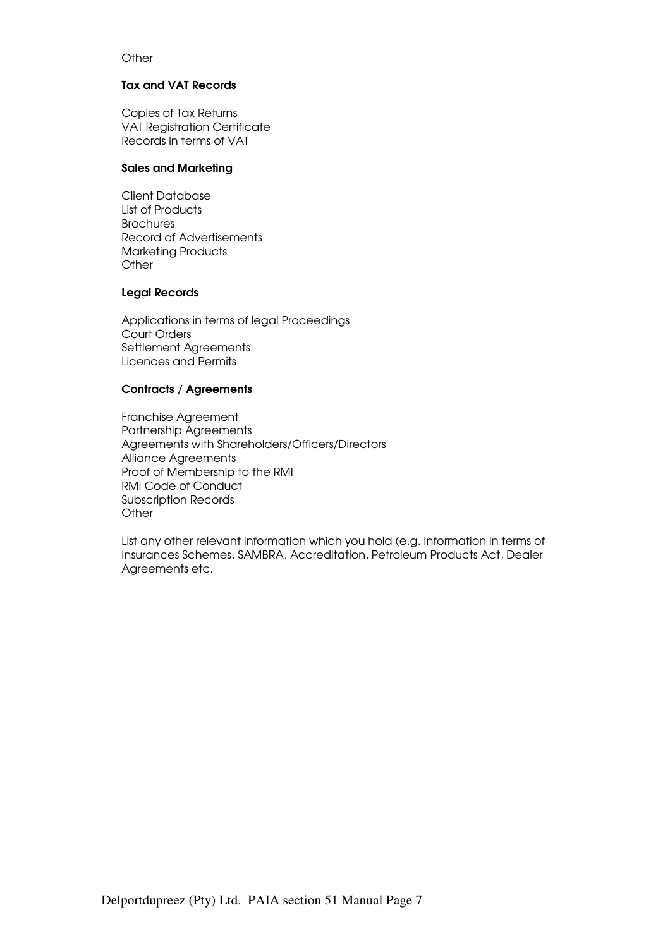# **Other**

#### Tax and VAT Records

Copies of Tax Returns VAT Registration Certificate Records in terms of VAT

### Sales and Marketing

Client Database List of Products **Brochures** Record of Advertisements Marketing Products **Other** 

### Legal Records

Applications in terms of legal Proceedings Court Orders Settlement Agreements Licences and Permits

# Contracts / Agreements

Franchise Agreement Partnership Agreements Agreements with Shareholders/Officers/Directors Alliance Agreements Proof of Membership to the RMI RMI Code of Conduct Subscription Records **Other** 

List any other relevant information which you hold (e.g. Information in terms of Insurances Schemes, SAMBRA, Accreditation, Petroleum Products Act, Dealer Agreements etc.